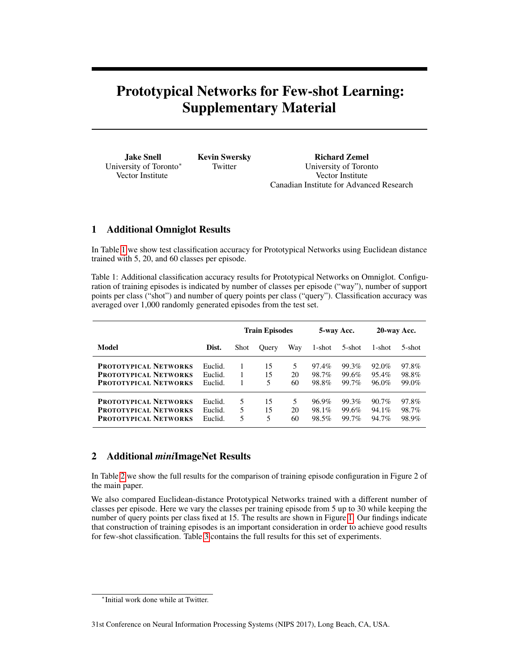## Prototypical Networks for Few-shot Learning: Supplementary Material

| <b>Jake Snell</b>      | <b>Kevin Swersky</b> | <b>Richard Zemel</b>                     |
|------------------------|----------------------|------------------------------------------|
| University of Toronto* | Twitter              | University of Toronto                    |
| Vector Institute       |                      | Vector Institute                         |
|                        |                      | Canadian Institute for Advanced Research |

## 1 Additional Omniglot Results

In Table [1](#page-0-0) we show test classification accuracy for Prototypical Networks using Euclidean distance trained with 5, 20, and 60 classes per episode.

<span id="page-0-0"></span>Table 1: Additional classification accuracy results for Prototypical Networks on Omniglot. Configuration of training episodes is indicated by number of classes per episode ("way"), number of support points per class ("shot") and number of query points per class ("query"). Classification accuracy was averaged over 1,000 randomly generated episodes from the test set.

|                              |         | <b>Train Episodes</b> |              |     | 5-way Acc. |        | 20-way Acc. |        |
|------------------------------|---------|-----------------------|--------------|-----|------------|--------|-------------|--------|
| Model                        | Dist.   | <b>Shot</b>           | <b>Ouery</b> | Way | 1-shot     | 5-shot | 1-shot      | 5-shot |
| <b>PROTOTYPICAL NETWORKS</b> | Euclid. |                       | 15           | 5   | 97.4%      | 99.3%  | 92.0%       | 97.8%  |
| <b>PROTOTYPICAL NETWORKS</b> | Euclid. |                       | 15           | 20  | 98.7%      | 99.6%  | 95.4%       | 98.8%  |
| <b>PROTOTYPICAL NETWORKS</b> | Euclid. |                       | 5            | 60  | 98.8%      | 99.7%  | $96.0\%$    | 99.0%  |
| <b>PROTOTYPICAL NETWORKS</b> | Euclid. | 5                     | 15           | 5   | 96.9%      | 99.3%  | $90.7\%$    | 97.8%  |
| <b>PROTOTYPICAL NETWORKS</b> | Euclid. | 5                     | 15           | 20  | 98.1%      | 99.6%  | $94.1\%$    | 98.7%  |
| <b>PROTOTYPICAL NETWORKS</b> | Euclid. | 5                     | 5            | 60  | 98.5%      | 99.7%  | 94.7%       | 98.9%  |

## 2 Additional *mini*ImageNet Results

In Table [2](#page-1-0) we show the full results for the comparison of training episode configuration in Figure 2 of the main paper.

We also compared Euclidean-distance Prototypical Networks trained with a different number of classes per episode. Here we vary the classes per training episode from 5 up to 30 while keeping the number of query points per class fixed at 15. The results are shown in Figure [1.](#page-1-1) Our findings indicate that construction of training episodes is an important consideration in order to achieve good results for few-shot classification. Table [3](#page-2-0) contains the full results for this set of experiments.

<sup>∗</sup> Initial work done while at Twitter.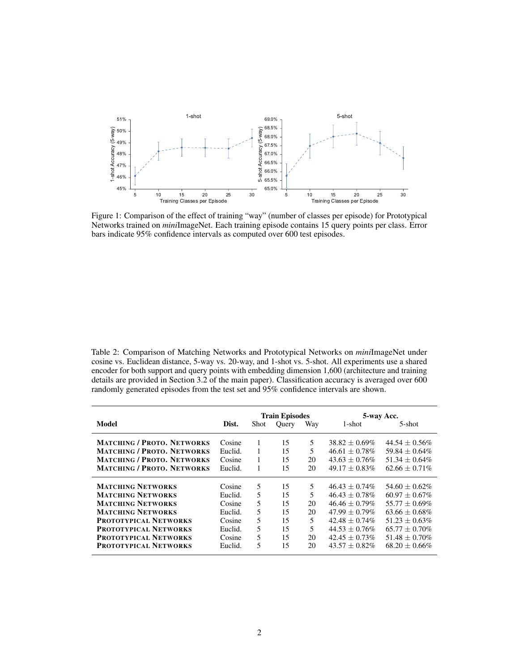<span id="page-1-1"></span>

Figure 1: Comparison of the effect of training "way" (number of classes per episode) for Prototypical Networks trained on *mini*ImageNet. Each training episode contains 15 query points per class. Error bars indicate 95% confidence intervals as computed over 600 test episodes.

<span id="page-1-0"></span>Table 2: Comparison of Matching Networks and Prototypical Networks on *mini*ImageNet under cosine vs. Euclidean distance, 5-way vs. 20-way, and 1-shot vs. 5-shot. All experiments use a shared encoder for both support and query points with embedding dimension 1,600 (architecture and training details are provided in Section 3.2 of the main paper). Classification accuracy is averaged over 600 randomly generated episodes from the test set and 95% confidence intervals are shown.

|                                                      |                   | <b>Train Episodes</b> |          |        | 5-way Acc.                           |                                      |  |
|------------------------------------------------------|-------------------|-----------------------|----------|--------|--------------------------------------|--------------------------------------|--|
| Model                                                | Dist.             | Shot                  | Query    | Way    | 1-shot                               | 5-shot                               |  |
| <b>MATCHING / PROTO. NETWORKS</b>                    | Cosine            | 1                     | 15       | 5      | $38.82 + 0.69\%$                     | $44.54 + 0.56\%$                     |  |
| <b>MATCHING / PROTO. NETWORKS</b>                    | Euclid.           | 1                     | 15       | 5      | $46.61 + 0.78\%$                     | 59.84 $\pm$ 0.64%                    |  |
| <b>MATCHING / PROTO, NETWORKS</b>                    | Cosine            | 1                     | 15       | 20     | $43.63 + 0.76\%$                     | $51.34 + 0.64\%$                     |  |
| <b>MATCHING / PROTO. NETWORKS</b>                    | Euclid.           | 1                     | 15       | 20     | $49.17 + 0.83\%$                     | $62.66 + 0.71\%$                     |  |
| <b>MATCHING NETWORKS</b><br><b>MATCHING NETWORKS</b> | Cosine<br>Euclid. | 5<br>5                | 15<br>15 | 5<br>5 | $46.43 + 0.74\%$<br>$46.43 + 0.78\%$ | $54.60 + 0.62\%$<br>$60.97 + 0.67\%$ |  |
| <b>MATCHING NETWORKS</b>                             | Cosine            | 5                     | 15       | 20     | $46.46 + 0.79\%$                     | $55.77 + 0.69\%$                     |  |
| <b>MATCHING NETWORKS</b>                             | Euclid.           | 5                     | 15       | 20     | $47.99 + 0.79\%$                     | $63.66 + 0.68\%$                     |  |
| <b>PROTOTYPICAL NETWORKS</b>                         | Cosine            | 5                     | 15       | 5      | $42.48 + 0.74\%$                     | $51.23 + 0.63\%$                     |  |
| <b>PROTOTYPICAL NETWORKS</b>                         | Euclid.           | 5                     | 15       | 5      | $44.53 + 0.76\%$                     | $65.77 + 0.70\%$                     |  |
| <b>PROTOTYPICAL NETWORKS</b>                         | Cosine            | 5                     | 15       | 20     | $42.45 + 0.73\%$                     | $51.48 + 0.70\%$                     |  |
| <b>PROTOTYPICAL NETWORKS</b>                         | Euclid.           | 5                     | 15       | 20     | $43.57 + 0.82\%$                     | $68.20 + 0.66\%$                     |  |